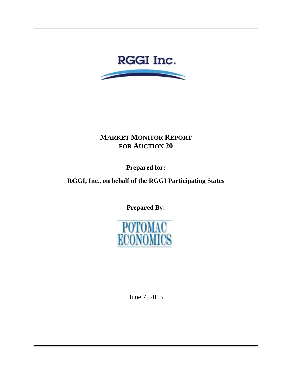

# **MARKET MONITOR REPORT FOR AUCTION 20**

**Prepared for:** 

**RGGI, Inc., on behalf of the RGGI Participating States**

**Prepared By:**



June 7, 2013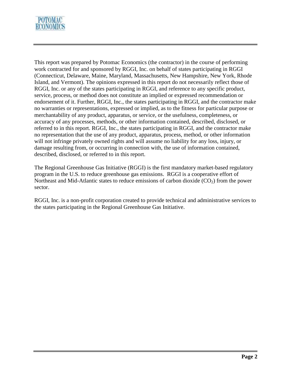

This report was prepared by Potomac Economics (the contractor) in the course of performing work contracted for and sponsored by RGGI, Inc. on behalf of states participating in RGGI (Connecticut, Delaware, Maine, Maryland, Massachusetts, New Hampshire, New York, Rhode Island, and Vermont). The opinions expressed in this report do not necessarily reflect those of RGGI, Inc. or any of the states participating in RGGI, and reference to any specific product, service, process, or method does not constitute an implied or expressed recommendation or endorsement of it. Further, RGGI, Inc., the states participating in RGGI, and the contractor make no warranties or representations, expressed or implied, as to the fitness for particular purpose or merchantability of any product, apparatus, or service, or the usefulness, completeness, or accuracy of any processes, methods, or other information contained, described, disclosed, or referred to in this report. RGGI, Inc., the states participating in RGGI, and the contractor make no representation that the use of any product, apparatus, process, method, or other information will not infringe privately owned rights and will assume no liability for any loss, injury, or damage resulting from, or occurring in connection with, the use of information contained, described, disclosed, or referred to in this report.

The Regional Greenhouse Gas Initiative (RGGI) is the first mandatory market-based regulatory program in the U.S. to reduce greenhouse gas emissions. RGGI is a cooperative effort of Northeast and Mid-Atlantic states to reduce emissions of carbon dioxide  $(CO<sub>2</sub>)$  from the power sector.

RGGI, Inc. is a non-profit corporation created to provide technical and administrative services to the states participating in the Regional Greenhouse Gas Initiative.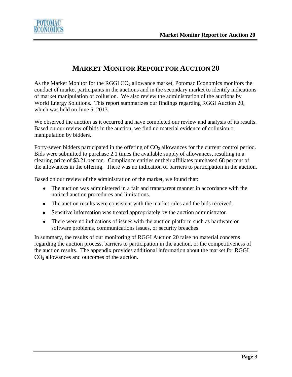

## **MARKET MONITOR REPORT FOR AUCTION 20**

As the Market Monitor for the RGGI  $CO<sub>2</sub>$  allowance market, Potomac Economics monitors the conduct of market participants in the auctions and in the secondary market to identify indications of market manipulation or collusion. We also review the administration of the auctions by World Energy Solutions. This report summarizes our findings regarding RGGI Auction 20, which was held on June 5, 2013.

We observed the auction as it occurred and have completed our review and analysis of its results. Based on our review of bids in the auction, we find no material evidence of collusion or manipulation by bidders.

Forty-seven bidders participated in the offering of  $CO<sub>2</sub>$  allowances for the current control period. Bids were submitted to purchase 2.1 times the available supply of allowances, resulting in a clearing price of \$3.21 per ton. Compliance entities or their affiliates purchased 68 percent of the allowances in the offering. There was no indication of barriers to participation in the auction.

Based on our review of the administration of the market, we found that:

- The auction was administered in a fair and transparent manner in accordance with the noticed auction procedures and limitations.
- The auction results were consistent with the market rules and the bids received.
- Sensitive information was treated appropriately by the auction administrator.
- There were no indications of issues with the auction platform such as hardware or software problems, communications issues, or security breaches.

In summary, the results of our monitoring of RGGI Auction 20 raise no material concerns regarding the auction process, barriers to participation in the auction, or the competitiveness of the auction results. The appendix provides additional information about the market for RGGI  $CO<sub>2</sub>$  allowances and outcomes of the auction.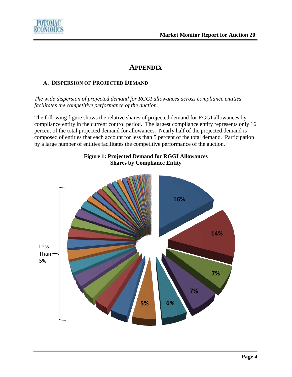

## **APPENDIX**

## **A. DISPERSION OF PROJECTED DEMAND**

*The wide dispersion of projected demand for RGGI allowances across compliance entities facilitates the competitive performance of the auction.*

The following figure shows the relative shares of projected demand for RGGI allowances by compliance entity in the current control period. The largest compliance entity represents only 16 percent of the total projected demand for allowances. Nearly half of the projected demand is composed of entities that each account for less than 5 percent of the total demand. Participation by a large number of entities facilitates the competitive performance of the auction.



## **Figure 1: Projected Demand for RGGI Allowances Shares by Compliance Entity**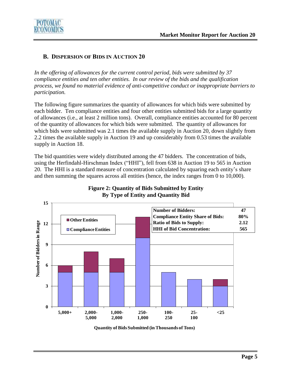

### **B. DISPERSION OF BIDS IN AUCTION 20**

*In the offering of allowances for the current control period, bids were submitted by 37 compliance entities and ten other entities. In our review of the bids and the qualification process, we found no material evidence of anti-competitive conduct or inappropriate barriers to participation.*

The following figure summarizes the quantity of allowances for which bids were submitted by each bidder. Ten compliance entities and four other entities submitted bids for a large quantity of allowances (i.e., at least 2 million tons). Overall, compliance entities accounted for 80 percent of the quantity of allowances for which bids were submitted. The quantity of allowances for which bids were submitted was 2.1 times the available supply in Auction 20, down slightly from 2.2 times the available supply in Auction 19 and up considerably from 0.53 times the available supply in Auction 18.

The bid quantities were widely distributed among the 47 bidders. The concentration of bids, using the Herfindahl-Hirschman Index ("HHI"), fell from 638 in Auction 19 to 565 in Auction 20. The HHI is a standard measure of concentration calculated by squaring each entity's share and then summing the squares across all entities (hence, the index ranges from 0 to 10,000).



#### **Figure 2: Quantity of Bids Submitted by Entity d By Type of Entity and Quantity Bid**

**Quantity of Bids Submitted (in Thousands of Tons)**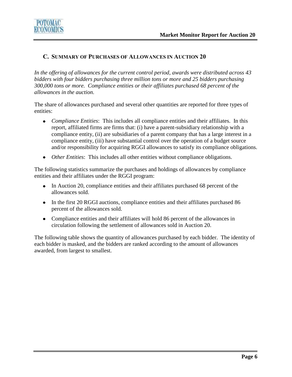

### **C. SUMMARY OF PURCHASES OF ALLOWANCES IN AUCTION 20**

*In the offering of allowances for the current control period, awards were distributed across 43 bidders with four bidders purchasing three million tons or more and 25 bidders purchasing 300,000 tons or more. Compliance entities or their affiliates purchased 68 percent of the allowances in the auction.* 

The share of allowances purchased and several other quantities are reported for three types of entities:

- *Compliance Entities*: This includes all compliance entities and their affiliates. In this report, affiliated firms are firms that: (i) have a parent-subsidiary relationship with a compliance entity, (ii) are subsidiaries of a parent company that has a large interest in a compliance entity, (iii) have substantial control over the operation of a budget source and/or responsibility for acquiring RGGI allowances to satisfy its compliance obligations.
- *Other Entities*: This includes all other entities without compliance obligations.

The following statistics summarize the purchases and holdings of allowances by compliance entities and their affiliates under the RGGI program:

- In Auction 20, compliance entities and their affiliates purchased 68 percent of the allowances sold.
- In the first 20 RGGI auctions, compliance entities and their affiliates purchased 86 percent of the allowances sold.
- Compliance entities and their affiliates will hold 86 percent of the allowances in circulation following the settlement of allowances sold in Auction 20.

The following table shows the quantity of allowances purchased by each bidder. The identity of each bidder is masked, and the bidders are ranked according to the amount of allowances awarded, from largest to smallest.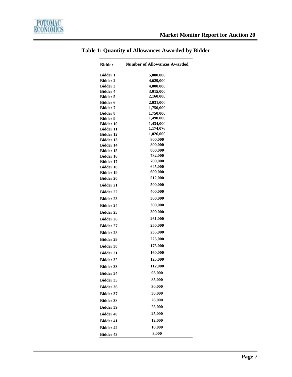$\overline{\phantom{0}}$ 

| <b>Bidder</b>                        | <b>Number of Allowances Awarded</b> |
|--------------------------------------|-------------------------------------|
| Bidder 1                             | 5,000,000                           |
| <b>Bidder 2</b>                      | 4,629,000                           |
| <b>Bidder 3</b>                      | 4,000,000                           |
| <b>Bidder 4</b>                      | 3,015,000                           |
| <b>Bidder 5</b>                      | 2,160,000                           |
| <b>Bidder 6</b>                      | 2,031,000                           |
| <b>Bidder 7</b>                      | 1,750,000                           |
| <b>Bidder 8</b>                      | 1,750,000                           |
| <b>Bidder 9</b>                      | 1,490,000                           |
| <b>Bidder 10</b><br><b>Bidder 11</b> | 1,434,000<br>1,174,076              |
| <b>Bidder 12</b>                     | 1,026,000                           |
| <b>Bidder 13</b>                     | 800,000                             |
| <b>Bidder 14</b>                     | 800,000                             |
| <b>Bidder 15</b>                     | 800,000                             |
| <b>Bidder 16</b>                     | 782,000                             |
| <b>Bidder 17</b>                     | 700,000                             |
| <b>Bidder 18</b>                     | 645,000                             |
| <b>Bidder 19</b>                     | 600,000                             |
| <b>Bidder 20</b>                     | 512,000                             |
| <b>Bidder 21</b>                     | 500,000                             |
| <b>Bidder 22</b>                     | 400,000                             |
| <b>Bidder 23</b>                     | 300,000                             |
| <b>Bidder 24</b>                     | 300,000                             |
| <b>Bidder 25</b>                     | 300,000                             |
| <b>Bidder 26</b>                     | 261,000                             |
| <b>Bidder 27</b>                     | 250,000                             |
| <b>Bidder 28</b>                     | 235,000                             |
| <b>Bidder 29</b>                     | 225,000                             |
| <b>Bidder 30</b>                     | 175,000                             |
| <b>Bidder 31</b>                     | 160,000                             |
| <b>Bidder 32</b>                     | 125,000                             |
| <b>Bidder 33</b>                     | 112,000                             |
| <b>Bidder 34</b>                     | 93,000                              |
| Bidder 35                            | 85,000                              |
| <b>Bidder 36</b>                     | 30,000                              |
| <b>Bidder 37</b>                     | 30,000                              |
| <b>Bidder 38</b>                     | 28,000                              |
| <b>Bidder 39</b>                     | 25,000                              |
| <b>Bidder 40</b>                     | 25,000                              |
| <b>Bidder 41</b>                     | 12,000                              |
| <b>Bidder 42</b>                     | 10,000                              |
| <b>Bidder 43</b>                     | 3,000                               |

## **Table 1: Quantity of Allowances Awarded by Bidder**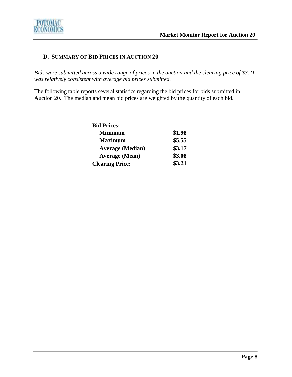

## **D. SUMMARY OF BID PRICES IN AUCTION 20**

*Bids were submitted across a wide range of prices in the auction and the clearing price of \$3.21 was relatively consistent with average bid prices submitted.* 

The following table reports several statistics regarding the bid prices for bids submitted in Auction 20. The median and mean bid prices are weighted by the quantity of each bid.

| \$1.98 |
|--------|
| \$5.55 |
| \$3.17 |
| \$3.08 |
| \$3.21 |
|        |